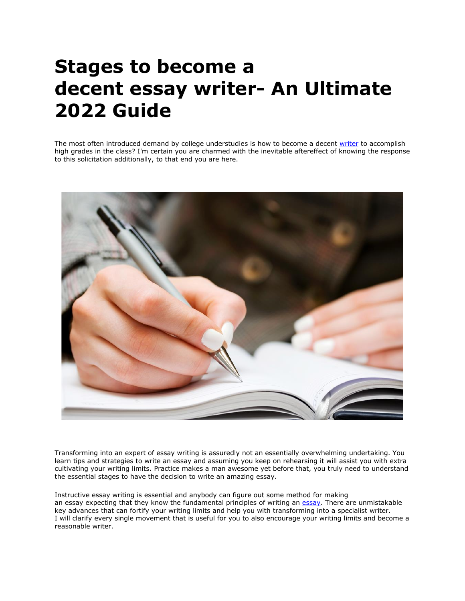# **Stages to become a decent essay writer- An Ultimate 2022 Guide**

The most often introduced demand by college understudies is how to become a decent [writer](https://www.collegeessay.org/) to accomplish high grades in the class? I'm certain you are charmed with the inevitable aftereffect of knowing the response to this solicitation additionally, to that end you are here.



Transforming into an expert of essay writing is assuredly not an essentially overwhelming undertaking. You learn tips and strategies to write an essay and assuming you keep on rehearsing it will assist you with extra cultivating your writing limits. Practice makes a man awesome yet before that, you truly need to understand the essential stages to have the decision to write an amazing essay.

Instructive essay writing is essential and anybody can figure out some method for making an essay expecting that they know the fundamental principles of writing an [essay.](https://www.collegeessay.org/) There are unmistakable key advances that can fortify your writing limits and help you with transforming into a specialist writer. I will clarify every single movement that is useful for you to also encourage your writing limits and become a reasonable writer.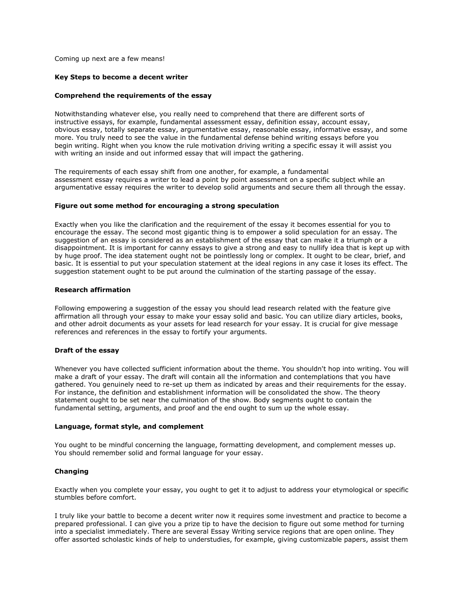Coming up next are a few means!

## **Key Steps to become a decent writer**

### **Comprehend the requirements of the essay**

Notwithstanding whatever else, you really need to comprehend that there are different sorts of instructive essays, for example, fundamental assessment essay, definition essay, account essay, obvious essay, totally separate essay, argumentative essay, reasonable essay, informative essay, and some more. You truly need to see the value in the fundamental defense behind writing essays before you begin writing. Right when you know the rule motivation driving writing a specific essay it will assist you with writing an inside and out informed essay that will impact the gathering.

The requirements of each essay shift from one another, for example, a fundamental assessment essay requires a writer to lead a point by point assessment on a specific subject while an argumentative essay requires the writer to develop solid arguments and secure them all through the essay.

## **Figure out some method for encouraging a strong speculation**

Exactly when you like the clarification and the requirement of the essay it becomes essential for you to encourage the essay. The second most gigantic thing is to empower a solid speculation for an essay. The suggestion of an essay is considered as an establishment of the essay that can make it a triumph or a disappointment. It is important for canny essays to give a strong and easy to nullify idea that is kept up with by huge proof. The idea statement ought not be pointlessly long or complex. It ought to be clear, brief, and basic. It is essential to put your speculation statement at the ideal regions in any case it loses its effect. The suggestion statement ought to be put around the culmination of the starting passage of the essay.

## **Research affirmation**

Following empowering a suggestion of the essay you should lead research related with the feature give affirmation all through your essay to make your essay solid and basic. You can utilize diary articles, books, and other adroit documents as your assets for lead research for your essay. It is crucial for give message references and references in the essay to fortify your arguments.

# **Draft of the essay**

Whenever you have collected sufficient information about the theme. You shouldn't hop into writing. You will make a draft of your essay. The draft will contain all the information and contemplations that you have gathered. You genuinely need to re-set up them as indicated by areas and their requirements for the essay. For instance, the definition and establishment information will be consolidated the show. The theory statement ought to be set near the culmination of the show. Body segments ought to contain the fundamental setting, arguments, and proof and the end ought to sum up the whole essay.

#### **Language, format style, and complement**

You ought to be mindful concerning the language, formatting development, and complement messes up. You should remember solid and formal language for your essay.

# **Changing**

Exactly when you complete your essay, you ought to get it to adjust to address your etymological or specific stumbles before comfort.

I truly like your battle to become a decent writer now it requires some investment and practice to become a prepared professional. I can give you a prize tip to have the decision to figure out some method for turning into a specialist immediately. There are several Essay Writing service regions that are open online. They offer assorted scholastic kinds of help to understudies, for example, giving customizable papers, assist them